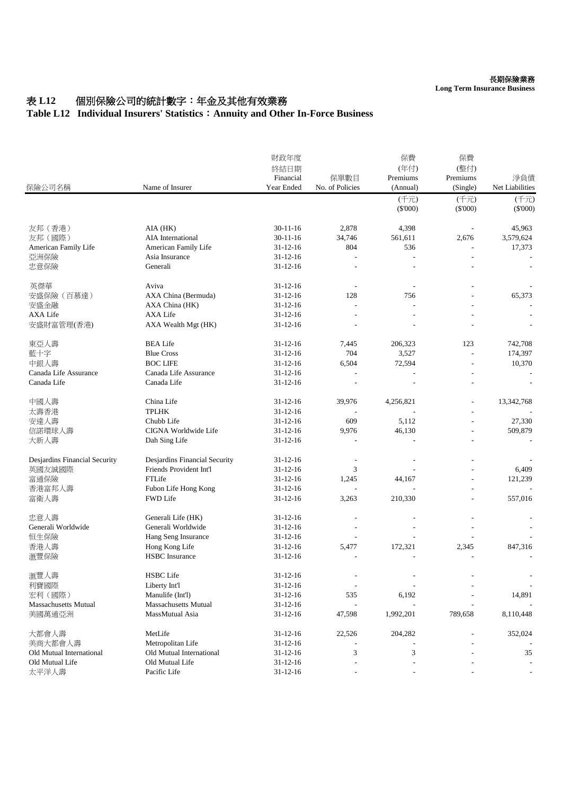#### **Long Term Insurance Business**

## 表 L12 個別保險公司的統計數字:年金及其他有效業務

### **Table L12 Individual Insurers' Statistics**:**Annuity and Other In-Force Business**

| 保險公司名稱                        | Name of Insurer               | 財政年度<br>終結日期<br>Financial<br>Year Ended | 保單數目<br>No. of Policies | 保費<br>(年付)<br>Premiums<br>(Annual) | 保費<br>(整付)<br>Premiums<br>(Single) | 淨負債<br>Net Liabilities |
|-------------------------------|-------------------------------|-----------------------------------------|-------------------------|------------------------------------|------------------------------------|------------------------|
|                               |                               |                                         |                         | (千元)<br>$(\$'000)$                 | (千元)<br>$(\$'000)$                 | (千元)<br>$(\$'000)$     |
| 友邦 (香港)                       | AIA (HK)                      | $30 - 11 - 16$                          | 2,878                   | 4,398                              |                                    | 45,963                 |
| 友邦(國際)                        | AIA International             | $30 - 11 - 16$                          | 34,746                  | 561,611                            | 2,676                              | 3,579,624              |
| American Family Life          | American Family Life          | $31 - 12 - 16$                          | 804                     | 536                                |                                    | 17,373                 |
| 亞洲保險                          | Asia Insurance                | $31 - 12 - 16$                          |                         |                                    |                                    |                        |
| 忠意保險                          | Generali                      | $31 - 12 - 16$                          |                         |                                    |                                    |                        |
| 英傑華                           | Aviva                         | $31 - 12 - 16$                          |                         |                                    |                                    |                        |
| 安盛保險 (百慕達)                    | AXA China (Bermuda)           | $31 - 12 - 16$                          | 128                     | 756                                |                                    | 65,373                 |
| 安盛金融                          | AXA China (HK)                | $31 - 12 - 16$                          |                         |                                    |                                    |                        |
| AXA Life                      | AXA Life                      | $31 - 12 - 16$                          |                         |                                    |                                    |                        |
| 安盛財富管理(香港)                    | AXA Wealth Mgt (HK)           | $31 - 12 - 16$                          |                         |                                    |                                    |                        |
| 東亞人壽                          | <b>BEA Life</b>               | $31 - 12 - 16$                          | 7,445                   | 206,323                            | 123                                | 742,708                |
| 藍十字                           | <b>Blue Cross</b>             | $31 - 12 - 16$                          | 704                     | 3,527                              | L.                                 | 174,397                |
| 中銀人壽                          | <b>BOC LIFE</b>               | $31 - 12 - 16$                          | 6,504                   | 72,594                             | $\overline{a}$                     | 10,370                 |
| Canada Life Assurance         | Canada Life Assurance         | $31 - 12 - 16$                          |                         |                                    |                                    |                        |
| Canada Life                   | Canada Life                   | $31 - 12 - 16$                          |                         |                                    |                                    |                        |
| 中國人壽                          | China Life                    | $31 - 12 - 16$                          | 39,976                  | 4,256,821                          | $\overline{a}$                     | 13,342,768             |
| 太壽香港                          | <b>TPLHK</b>                  | $31 - 12 - 16$                          |                         |                                    | ÷,                                 |                        |
| 安達人壽                          | Chubb Life                    | $31 - 12 - 16$                          | 609                     | 5,112                              |                                    | 27,330                 |
| 信諾環球人壽                        | CIGNA Worldwide Life          | $31 - 12 - 16$                          | 9,976                   | 46,130                             |                                    | 509,879                |
| 大新人壽                          | Dah Sing Life                 | 31-12-16                                |                         |                                    |                                    |                        |
| Desjardins Financial Security | Desjardins Financial Security | $31 - 12 - 16$                          |                         |                                    |                                    |                        |
| 英國友誠國際                        | Friends Provident Int'l       | $31 - 12 - 16$                          | 3                       |                                    |                                    | 6,409                  |
| 富通保險                          | FTLife                        | $31 - 12 - 16$                          | 1,245                   | 44,167                             |                                    | 121,239                |
| 香港富邦人壽                        | Fubon Life Hong Kong          | $31 - 12 - 16$                          |                         |                                    |                                    |                        |
| 富衛人壽                          | <b>FWD Life</b>               | $31 - 12 - 16$                          | 3,263                   | 210,330                            |                                    | 557,016                |
| 忠意人壽                          | Generali Life (HK)            | $31 - 12 - 16$                          |                         |                                    |                                    |                        |
| Generali Worldwide            | Generali Worldwide            | $31 - 12 - 16$                          |                         |                                    |                                    |                        |
| 恒生保險                          | Hang Seng Insurance           | $31 - 12 - 16$                          |                         |                                    |                                    |                        |
| 香港人壽                          | Hong Kong Life                | $31 - 12 - 16$                          | 5,477                   | 172,321                            | 2,345                              | 847,316                |
| 滙豐保險                          | <b>HSBC</b> Insurance         | $31 - 12 - 16$                          |                         |                                    |                                    |                        |
| 滙豐人壽                          | <b>HSBC</b> Life              | 31-12-16                                |                         |                                    |                                    |                        |
| 利寶國際                          | Liberty Int'l                 | $31 - 12 - 16$                          |                         |                                    |                                    |                        |
| 宏利 (國際)                       | Manulife (Int'l)              | $31 - 12 - 16$                          | 535                     | 6,192                              |                                    | 14,891                 |
| <b>Massachusetts Mutual</b>   | <b>Massachusetts Mutual</b>   | $31 - 12 - 16$                          |                         |                                    |                                    |                        |
| 美國萬通亞洲                        | MassMutual Asia               | $31 - 12 - 16$                          | 47,598                  | 1,992,201                          | 789,658                            | 8,110,448              |
| 大都會人壽                         | MetLife                       | $31 - 12 - 16$                          | 22,526                  | 204,282                            |                                    | 352,024                |
| 美商大都會人壽                       | Metropolitan Life             | $31 - 12 - 16$                          |                         |                                    |                                    |                        |
| Old Mutual International      | Old Mutual International      | $31 - 12 - 16$                          | 3                       | 3                                  |                                    | 35                     |
| Old Mutual Life               | Old Mutual Life               | $31 - 12 - 16$                          |                         |                                    |                                    |                        |
| 太平洋人壽                         | Pacific Life                  | $31 - 12 - 16$                          |                         |                                    |                                    |                        |